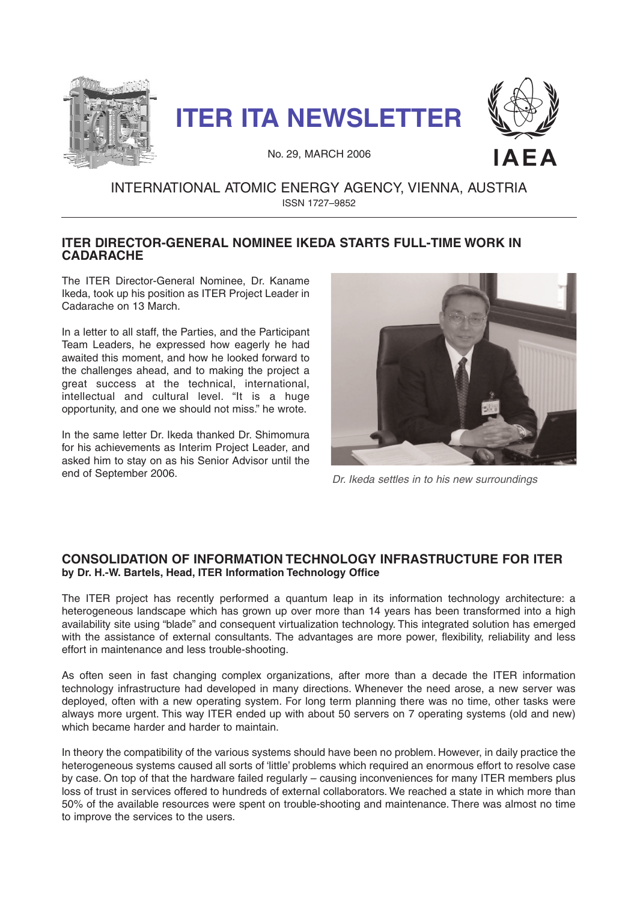





No. 29, MARCH 2006

# INTERNATIONAL ATOMIC ENERGY AGENCY, VIENNA, AUSTRIA ISSN 1727–9852

# **ITER DIRECTOR-GENERAL NOMINEE IKEDA STARTS FULL-TIME WORK IN CADARACHE**

The ITER Director-General Nominee, Dr. Kaname Ikeda, took up his position as ITER Project Leader in Cadarache on 13 March.

In a letter to all staff, the Parties, and the Participant Team Leaders, he expressed how eagerly he had awaited this moment, and how he looked forward to the challenges ahead, and to making the project a great success at the technical, international, intellectual and cultural level. "It is a huge opportunity, and one we should not miss." he wrote.

In the same letter Dr. Ikeda thanked Dr. Shimomura for his achievements as Interim Project Leader, and asked him to stay on as his Senior Advisor until the end of September 2006.



Dr. Ikeda settles in to his new surroundings

# **CONSOLIDATION OF INFORMATION TECHNOLOGY INFRASTRUCTURE FOR ITER by Dr. H.-W. Bartels, Head, ITER Information Technology Office**

The ITER project has recently performed a quantum leap in its information technology architecture: a heterogeneous landscape which has grown up over more than 14 years has been transformed into a high availability site using "blade" and consequent virtualization technology. This integrated solution has emerged with the assistance of external consultants. The advantages are more power, flexibility, reliability and less effort in maintenance and less trouble-shooting.

As often seen in fast changing complex organizations, after more than a decade the ITER information technology infrastructure had developed in many directions. Whenever the need arose, a new server was deployed, often with a new operating system. For long term planning there was no time, other tasks were always more urgent. This way ITER ended up with about 50 servers on 7 operating systems (old and new) which became harder and harder to maintain.

In theory the compatibility of the various systems should have been no problem. However, in daily practice the heterogeneous systems caused all sorts of 'little' problems which required an enormous effort to resolve case by case. On top of that the hardware failed regularly – causing inconveniences for many ITER members plus loss of trust in services offered to hundreds of external collaborators. We reached a state in which more than 50% of the available resources were spent on trouble-shooting and maintenance. There was almost no time to improve the services to the users.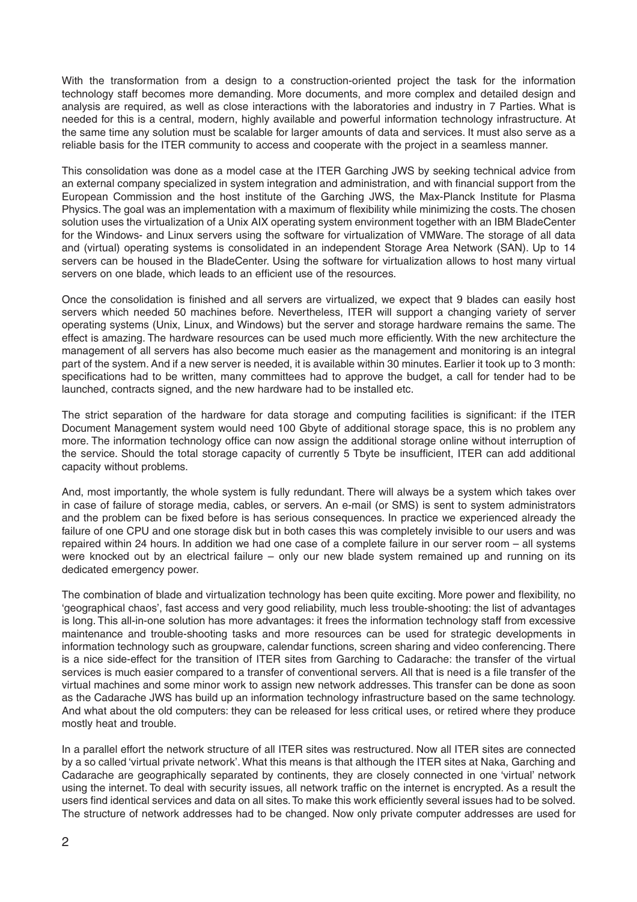With the transformation from a design to a construction-oriented project the task for the information technology staff becomes more demanding. More documents, and more complex and detailed design and analysis are required, as well as close interactions with the laboratories and industry in 7 Parties. What is needed for this is a central, modern, highly available and powerful information technology infrastructure. At the same time any solution must be scalable for larger amounts of data and services. It must also serve as a reliable basis for the ITER community to access and cooperate with the project in a seamless manner.

This consolidation was done as a model case at the ITER Garching JWS by seeking technical advice from an external company specialized in system integration and administration, and with financial support from the European Commission and the host institute of the Garching JWS, the Max-Planck Institute for Plasma Physics. The goal was an implementation with a maximum of flexibility while minimizing the costs. The chosen solution uses the virtualization of a Unix AIX operating system environment together with an IBM BladeCenter for the Windows- and Linux servers using the software for virtualization of VMWare. The storage of all data and (virtual) operating systems is consolidated in an independent Storage Area Network (SAN). Up to 14 servers can be housed in the BladeCenter. Using the software for virtualization allows to host many virtual servers on one blade, which leads to an efficient use of the resources.

Once the consolidation is finished and all servers are virtualized, we expect that 9 blades can easily host servers which needed 50 machines before. Nevertheless, ITER will support a changing variety of server operating systems (Unix, Linux, and Windows) but the server and storage hardware remains the same. The effect is amazing. The hardware resources can be used much more efficiently. With the new architecture the management of all servers has also become much easier as the management and monitoring is an integral part of the system. And if a new server is needed, it is available within 30 minutes. Earlier it took up to 3 month: specifications had to be written, many committees had to approve the budget, a call for tender had to be launched, contracts signed, and the new hardware had to be installed etc.

The strict separation of the hardware for data storage and computing facilities is significant: if the ITER Document Management system would need 100 Gbyte of additional storage space, this is no problem any more. The information technology office can now assign the additional storage online without interruption of the service. Should the total storage capacity of currently 5 Tbyte be insufficient, ITER can add additional capacity without problems.

And, most importantly, the whole system is fully redundant. There will always be a system which takes over in case of failure of storage media, cables, or servers. An e-mail (or SMS) is sent to system administrators and the problem can be fixed before is has serious consequences. In practice we experienced already the failure of one CPU and one storage disk but in both cases this was completely invisible to our users and was repaired within 24 hours. In addition we had one case of a complete failure in our server room – all systems were knocked out by an electrical failure – only our new blade system remained up and running on its dedicated emergency power.

The combination of blade and virtualization technology has been quite exciting. More power and flexibility, no 'geographical chaos', fast access and very good reliability, much less trouble-shooting: the list of advantages is long. This all-in-one solution has more advantages: it frees the information technology staff from excessive maintenance and trouble-shooting tasks and more resources can be used for strategic developments in information technology such as groupware, calendar functions, screen sharing and video conferencing. There is a nice side-effect for the transition of ITER sites from Garching to Cadarache: the transfer of the virtual services is much easier compared to a transfer of conventional servers. All that is need is a file transfer of the virtual machines and some minor work to assign new network addresses. This transfer can be done as soon as the Cadarache JWS has build up an information technology infrastructure based on the same technology. And what about the old computers: they can be released for less critical uses, or retired where they produce mostly heat and trouble.

In a parallel effort the network structure of all ITER sites was restructured. Now all ITER sites are connected by a so called 'virtual private network'. What this means is that although the ITER sites at Naka, Garching and Cadarache are geographically separated by continents, they are closely connected in one 'virtual' network using the internet. To deal with security issues, all network traffic on the internet is encrypted. As a result the users find identical services and data on all sites.To make this work efficiently several issues had to be solved. The structure of network addresses had to be changed. Now only private computer addresses are used for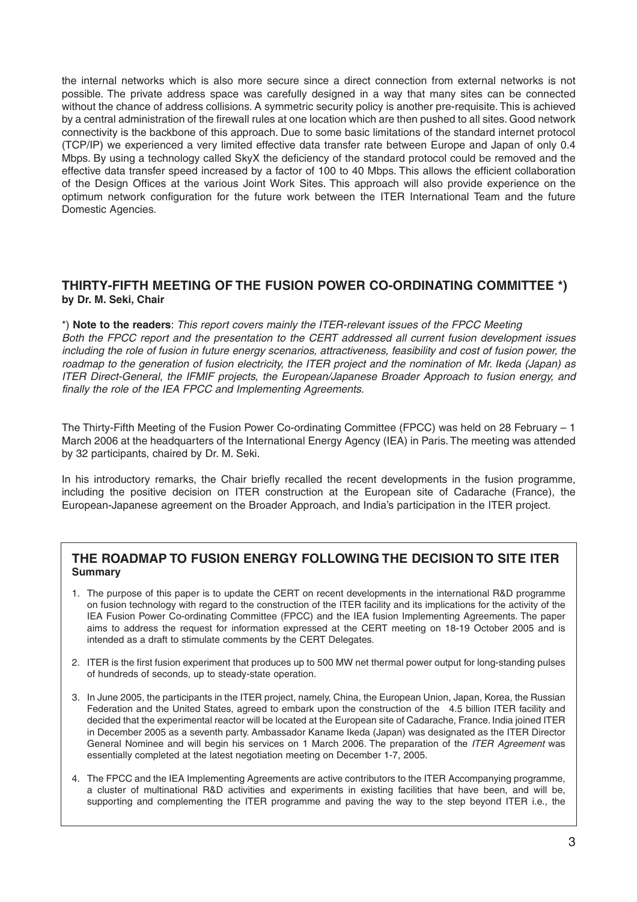the internal networks which is also more secure since a direct connection from external networks is not possible. The private address space was carefully designed in a way that many sites can be connected without the chance of address collisions. A symmetric security policy is another pre-requisite. This is achieved by a central administration of the firewall rules at one location which are then pushed to all sites. Good network connectivity is the backbone of this approach. Due to some basic limitations of the standard internet protocol (TCP/IP) we experienced a very limited effective data transfer rate between Europe and Japan of only 0.4 Mbps. By using a technology called SkyX the deficiency of the standard protocol could be removed and the effective data transfer speed increased by a factor of 100 to 40 Mbps. This allows the efficient collaboration of the Design Offices at the various Joint Work Sites. This approach will also provide experience on the optimum network configuration for the future work between the ITER International Team and the future Domestic Agencies.

### **THIRTY-FIFTH MEETING OF THE FUSION POWER CO-ORDINATING COMMITTEE \*) by Dr. M. Seki, Chair**

\*) **Note to the readers**: This report covers mainly the ITER-relevant issues of the FPCC Meeting Both the FPCC report and the presentation to the CERT addressed all current fusion development issues including the role of fusion in future energy scenarios, attractiveness, feasibility and cost of fusion power, the roadmap to the generation of fusion electricity, the ITER project and the nomination of Mr. Ikeda (Japan) as ITER Direct-General, the IFMIF projects, the European/Japanese Broader Approach to fusion energy, and finally the role of the IEA FPCC and Implementing Agreements.

The Thirty-Fifth Meeting of the Fusion Power Co-ordinating Committee (FPCC) was held on 28 February – 1 March 2006 at the headquarters of the International Energy Agency (IEA) in Paris. The meeting was attended by 32 participants, chaired by Dr. M. Seki.

In his introductory remarks, the Chair briefly recalled the recent developments in the fusion programme, including the positive decision on ITER construction at the European site of Cadarache (France), the European-Japanese agreement on the Broader Approach, and India's participation in the ITER project.

# **THE ROADMAP TO FUSION ENERGY FOLLOWING THE DECISION TO SITE ITER Summary**

- 1. The purpose of this paper is to update the CERT on recent developments in the international R&D programme on fusion technology with regard to the construction of the ITER facility and its implications for the activity of the IEA Fusion Power Co-ordinating Committee (FPCC) and the IEA fusion Implementing Agreements. The paper aims to address the request for information expressed at the CERT meeting on 18-19 October 2005 and is intended as a draft to stimulate comments by the CERT Delegates.
- 2. ITER is the first fusion experiment that produces up to 500 MW net thermal power output for long-standing pulses of hundreds of seconds, up to steady-state operation.
- 3. In June 2005, the participants in the ITER project, namely, China, the European Union, Japan, Korea, the Russian Federation and the United States, agreed to embark upon the construction of the 4.5 billion ITER facility and decided that the experimental reactor will be located at the European site of Cadarache, France. India joined ITER in December 2005 as a seventh party. Ambassador Kaname Ikeda (Japan) was designated as the ITER Director General Nominee and will begin his services on 1 March 2006. The preparation of the ITER Agreement was essentially completed at the latest negotiation meeting on December 1-7, 2005.
- 4. The FPCC and the IEA Implementing Agreements are active contributors to the ITER Accompanying programme, a cluster of multinational R&D activities and experiments in existing facilities that have been, and will be, supporting and complementing the ITER programme and paving the way to the step beyond ITER i.e., the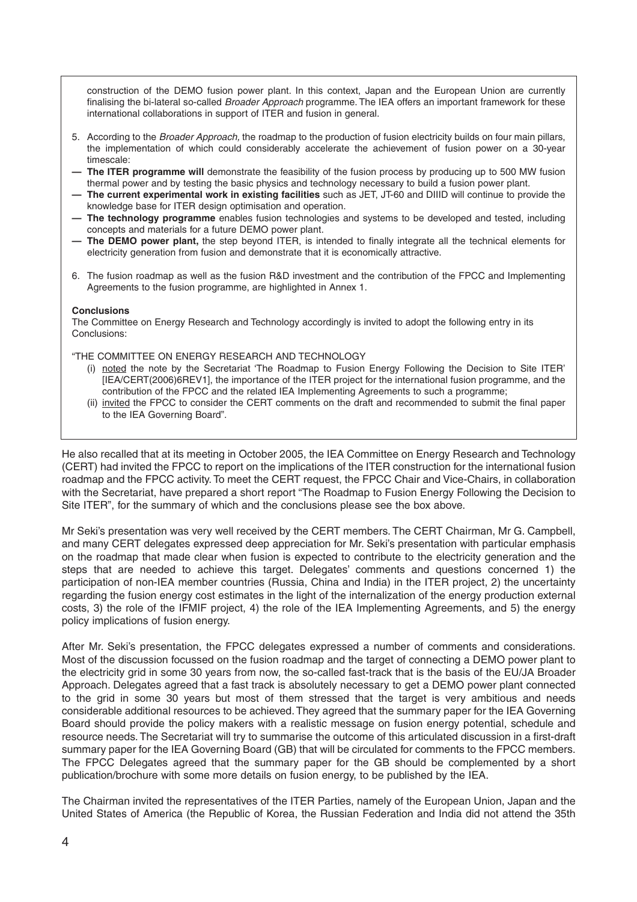construction of the DEMO fusion power plant. In this context, Japan and the European Union are currently finalising the bi-lateral so-called Broader Approach programme. The IEA offers an important framework for these international collaborations in support of ITER and fusion in general.

- 5. According to the *Broader Approach*, the roadmap to the production of fusion electricity builds on four main pillars, the implementation of which could considerably accelerate the achievement of fusion power on a 30-year timescale:
- **The ITER programme will** demonstrate the feasibility of the fusion process by producing up to 500 MW fusion thermal power and by testing the basic physics and technology necessary to build a fusion power plant.
- **The current experimental work in existing facilities** such as JET, JT-60 and DIIID will continue to provide the knowledge base for ITER design optimisation and operation.
- **The technology programme** enables fusion technologies and systems to be developed and tested, including concepts and materials for a future DEMO power plant.
- **The DEMO power plant,** the step beyond ITER, is intended to finally integrate all the technical elements for electricity generation from fusion and demonstrate that it is economically attractive.
- 6. The fusion roadmap as well as the fusion R&D investment and the contribution of the FPCC and Implementing Agreements to the fusion programme, are highlighted in Annex 1.

#### **Conclusions**

The Committee on Energy Research and Technology accordingly is invited to adopt the following entry in its Conclusions:

"THE COMMITTEE ON ENERGY RESEARCH AND TECHNOLOGY

- (i) noted the note by the Secretariat 'The Roadmap to Fusion Energy Following the Decision to Site ITER' [IEA/CERT(2006)6REV1], the importance of the ITER project for the international fusion programme, and the contribution of the FPCC and the related IEA Implementing Agreements to such a programme;
- (ii) invited the FPCC to consider the CERT comments on the draft and recommended to submit the final paper to the IEA Governing Board".

He also recalled that at its meeting in October 2005, the IEA Committee on Energy Research and Technology (CERT) had invited the FPCC to report on the implications of the ITER construction for the international fusion roadmap and the FPCC activity. To meet the CERT request, the FPCC Chair and Vice-Chairs, in collaboration with the Secretariat, have prepared a short report "The Roadmap to Fusion Energy Following the Decision to Site ITER", for the summary of which and the conclusions please see the box above.

Mr Seki's presentation was very well received by the CERT members. The CERT Chairman, Mr G. Campbell, and many CERT delegates expressed deep appreciation for Mr. Seki's presentation with particular emphasis on the roadmap that made clear when fusion is expected to contribute to the electricity generation and the steps that are needed to achieve this target. Delegates' comments and questions concerned 1) the participation of non-IEA member countries (Russia, China and India) in the ITER project, 2) the uncertainty regarding the fusion energy cost estimates in the light of the internalization of the energy production external costs, 3) the role of the IFMIF project, 4) the role of the IEA Implementing Agreements, and 5) the energy policy implications of fusion energy.

After Mr. Seki's presentation, the FPCC delegates expressed a number of comments and considerations. Most of the discussion focussed on the fusion roadmap and the target of connecting a DEMO power plant to the electricity grid in some 30 years from now, the so-called fast-track that is the basis of the EU/JA Broader Approach. Delegates agreed that a fast track is absolutely necessary to get a DEMO power plant connected to the grid in some 30 years but most of them stressed that the target is very ambitious and needs considerable additional resources to be achieved. They agreed that the summary paper for the IEA Governing Board should provide the policy makers with a realistic message on fusion energy potential, schedule and resource needs. The Secretariat will try to summarise the outcome of this articulated discussion in a first-draft summary paper for the IEA Governing Board (GB) that will be circulated for comments to the FPCC members. The FPCC Delegates agreed that the summary paper for the GB should be complemented by a short publication/brochure with some more details on fusion energy, to be published by the IEA.

The Chairman invited the representatives of the ITER Parties, namely of the European Union, Japan and the United States of America (the Republic of Korea, the Russian Federation and India did not attend the 35th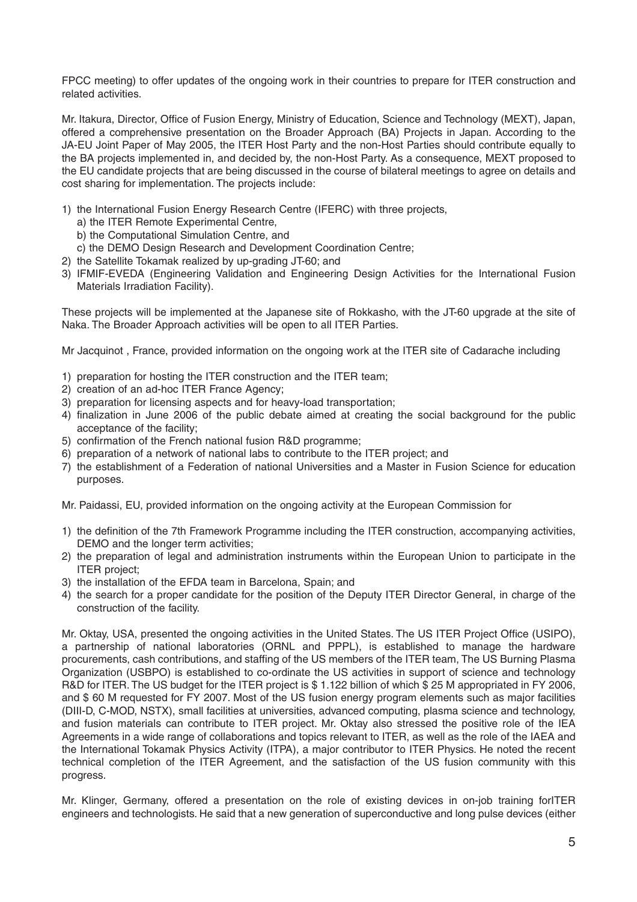FPCC meeting) to offer updates of the ongoing work in their countries to prepare for ITER construction and related activities.

Mr. Itakura, Director, Office of Fusion Energy, Ministry of Education, Science and Technology (MEXT), Japan, offered a comprehensive presentation on the Broader Approach (BA) Projects in Japan. According to the JA-EU Joint Paper of May 2005, the ITER Host Party and the non-Host Parties should contribute equally to the BA projects implemented in, and decided by, the non-Host Party. As a consequence, MEXT proposed to the EU candidate projects that are being discussed in the course of bilateral meetings to agree on details and cost sharing for implementation. The projects include:

- 1) the International Fusion Energy Research Centre (IFERC) with three projects,
	- a) the ITER Remote Experimental Centre,
	- b) the Computational Simulation Centre, and
	- c) the DEMO Design Research and Development Coordination Centre;
- 2) the Satellite Tokamak realized by up-grading JT-60; and
- 3) IFMIF-EVEDA (Engineering Validation and Engineering Design Activities for the International Fusion Materials Irradiation Facility).

These projects will be implemented at the Japanese site of Rokkasho, with the JT-60 upgrade at the site of Naka. The Broader Approach activities will be open to all ITER Parties.

Mr Jacquinot , France, provided information on the ongoing work at the ITER site of Cadarache including

- 1) preparation for hosting the ITER construction and the ITER team;
- 2) creation of an ad-hoc ITER France Agency;
- 3) preparation for licensing aspects and for heavy-load transportation;
- 4) finalization in June 2006 of the public debate aimed at creating the social background for the public acceptance of the facility;
- 5) confirmation of the French national fusion R&D programme;
- 6) preparation of a network of national labs to contribute to the ITER project; and
- 7) the establishment of a Federation of national Universities and a Master in Fusion Science for education purposes.

Mr. Paidassi, EU, provided information on the ongoing activity at the European Commission for

- 1) the definition of the 7th Framework Programme including the ITER construction, accompanying activities, DEMO and the longer term activities;
- 2) the preparation of legal and administration instruments within the European Union to participate in the ITER project;
- 3) the installation of the EFDA team in Barcelona, Spain; and
- 4) the search for a proper candidate for the position of the Deputy ITER Director General, in charge of the construction of the facility.

Mr. Oktay, USA, presented the ongoing activities in the United States. The US ITER Project Office (USIPO), a partnership of national laboratories (ORNL and PPPL), is established to manage the hardware procurements, cash contributions, and staffing of the US members of the ITER team, The US Burning Plasma Organization (USBPO) is established to co-ordinate the US activities in support of science and technology R&D for ITER. The US budget for the ITER project is \$1.122 billion of which \$25 M appropriated in FY 2006, and \$ 60 M requested for FY 2007. Most of the US fusion energy program elements such as major facilities (DIII-D, C-MOD, NSTX), small facilities at universities, advanced computing, plasma science and technology, and fusion materials can contribute to ITER project. Mr. Oktay also stressed the positive role of the IEA Agreements in a wide range of collaborations and topics relevant to ITER, as well as the role of the IAEA and the International Tokamak Physics Activity (ITPA), a major contributor to ITER Physics. He noted the recent technical completion of the ITER Agreement, and the satisfaction of the US fusion community with this progress.

Mr. Klinger, Germany, offered a presentation on the role of existing devices in on-job training forITER engineers and technologists. He said that a new generation of superconductive and long pulse devices (either